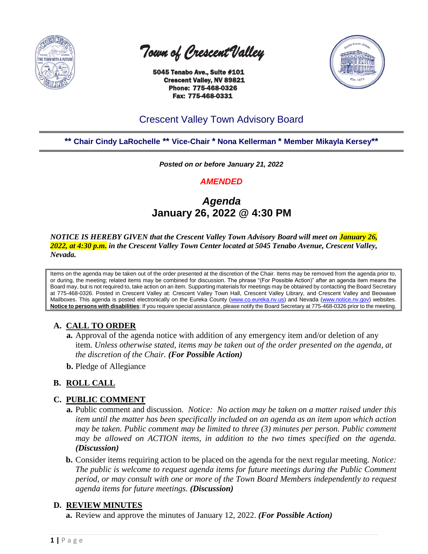

 *Town of Crescent Valley* 

 5045 Tenabo Ave., Suite #101 Crescent Valley, NV 89821 Phone: 775-468-0326 Fax: 775-468-0331



# Crescent Valley Town Advisory Board

**\*\* Chair Cindy LaRochelle \*\* Vice-Chair \* Nona Kellerman \* Member Mikayla Kersey\*\***

*Posted on or before January 21, 2022*

# *AMENDED*

# *Agenda* **January 26, 2022 @ 4:30 PM**

*NOTICE IS HEREBY GIVEN that the Crescent Valley Town Advisory Board will meet on January 26, 2022, at 4:30 p.m. in the Crescent Valley Town Center located at 5045 Tenabo Avenue, Crescent Valley, Nevada.* 

Items on the agenda may be taken out of the order presented at the discretion of the Chair. Items may be removed from the agenda prior to, or during, the meeting; related items may be combined for discussion. The phrase "(For Possible Action)" after an agenda item means the Board may, but is not required to, take action on an item. Supporting materials for meetings may be obtained by contacting the Board Secretary at 775-468-0326. Posted in Crescent Valley at: Crescent Valley Town Hall, Crescent Valley Library, and Crescent Valley and Beowawe Mailboxes. This agenda is posted electronically on the Eureka County [\(www.co.eureka.nv.us\)](http://www.co.eureka.nv.us/) and Nevada [\(www.notice.nv.gov\)](http://www.notice.nv.gov/) websites. **Notice to persons with disabilities**: If you require special assistance, please notify the Board Secretary at 775-468-0326 prior to the meeting.

## **A. CALL TO ORDER**

- **a.** Approval of the agenda notice with addition of any emergency item and/or deletion of any item. *Unless otherwise stated, items may be taken out of the order presented on the agenda, at the discretion of the Chair. (For Possible Action)*
- **b.** Pledge of Allegiance

## **B. ROLL CALL**

#### **C. PUBLIC COMMENT**

- **a.** Public comment and discussion. *Notice: No action may be taken on a matter raised under this item until the matter has been specifically included on an agenda as an item upon which action may be taken. Public comment may be limited to three (3) minutes per person. Public comment may be allowed on ACTION items, in addition to the two times specified on the agenda. (Discussion)*
- **b.** Consider items requiring action to be placed on the agenda for the next regular meeting. *Notice: The public is welcome to request agenda items for future meetings during the Public Comment period, or may consult with one or more of the Town Board Members independently to request agenda items for future meetings. (Discussion)*

#### **D. REVIEW MINUTES**

**a.** Review and approve the minutes of January 12, 2022. *(For Possible Action)*